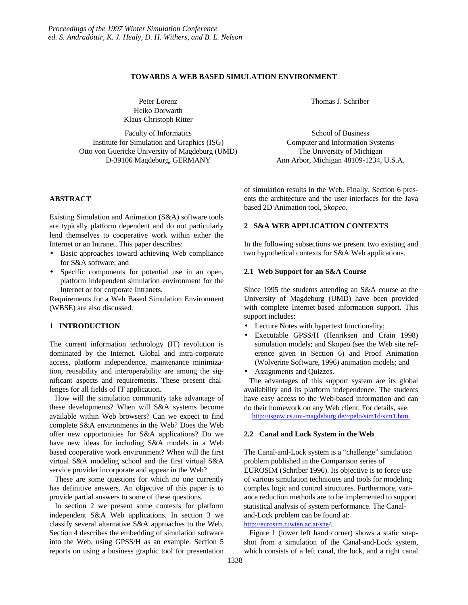### **TOWARDS A WEB BASED SIMULATION ENVIRONMENT**

Peter Lorenz Heiko Dorwarth Klaus-Christoph Ritter

Faculty of Informatics Institute for Simulation and Graphics (ISG) Otto von Guericke University of Magdeburg (UMD) D-39106 Magdeburg, GERMANY

### **ABSTRACT**

Existing Simulation and Animation (S&A) software tools are typically platform dependent and do not particularly lend themselves to cooperative work within either the Internet or an Intranet. This paper describes:

- Basic approaches toward achieving Web compliance for S&A software; and
- Specific components for potential use in an open, platform independent simulation environment for the Internet or for corporate Intranets.

Requirements for a Web Based Simulation Environment (WBSE) are also discussed.

## **1 INTRODUCTION**

The current information technology (IT) revolution is dominated by the Internet. Global and intra-corporate access, platform independence, maintenance minimization, reusability and interoperability are among the significant aspects and requirements. These present challenges for all fields of IT application.

How will the simulation community take advantage of these developments? When will S&A systems become available within Web browsers? Can we expect to find complete S&A environments in the Web? Does the Web offer new opportunities for S&A applications? Do we have new ideas for including S&A models in a Web based cooperative work environment? When will the first virtual S&A modeling school and the first virtual S&A service provider incorporate and appear in the Web?

These are some questions for which no one currently has definitive answers. An objective of this paper is to provide partial answers to some of these questions.

In section 2 we present some contexts for platform independent S&A Web applications. In section 3 we classify several alternative S&A approaches to the Web. Section 4 describes the embedding of simulation software into the Web, using GPSS/H as an example. Section 5 reports on using a business graphic tool for presentation Thomas J. Schriber

School of Business Computer and Information Systems The University of Michigan Ann Arbor, Michigan 48109-1234, U.S.A.

of simulation results in the Web. Finally, Section 6 presents the architecture and the user interfaces for the Java based 2D Animation tool, *Skopeo.*

## **2 S&A WEB APPLICATION CONTEXTS**

In the following subsections we present two existing and two hypothetical contexts for S&A Web applications.

### **2.1 Web Support for an S&A Course**

Since 1995 the students attending an S&A course at the University of Magdeburg (UMD) have been provided with complete Internet-based information support. This support includes:

- Lecture Notes with hypertext functionality;
- Executable GPSS/H (Henriksen and Crain 1998) simulation models; and Skopeo (see the Web site reference given in Section 6) and Proof Animation (Wolverine Software, 1996) animation models; and
- Assignments and Quizzes.

The advantages of this support system are its global availability and its platform independence. The students have easy access to the Web-based information and can do their homework on any Web client. For details, see:

http://isgnw.cs.uni-magdeburg.de/~pelo/sim1d/sim1.htm.

#### **2.2 Canal and Lock System in the Web**

The Canal-and-Lock system is a "challenge" simulation problem published in the Comparison series of EUROSIM (Schriber 1996). Its objective is to force use of various simulation techniques and tools for modeling complex logic and control structures. Furthermore, variance reduction methods are to be implemented to support statistical analysis of system performance. The Canaland-Lock problem can be found at:

http://eurosim.tuwien.ac.at/sne*/*.

Figure 1 (lower left hand corner) shows a static snapshot from a simulation of the Canal-and-Lock system, which consists of a left canal, the lock, and a right canal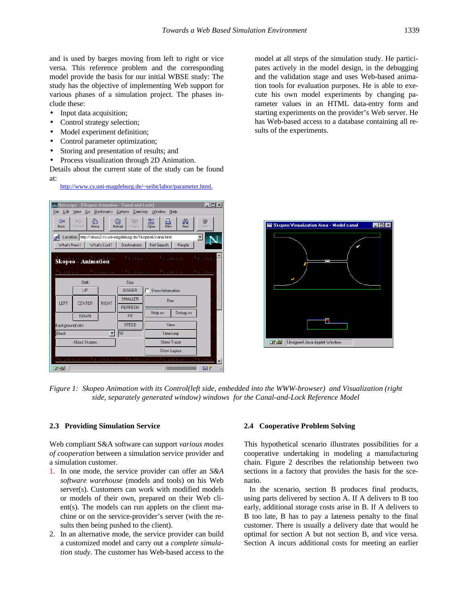and is used by barges moving from left to right or vice versa. This reference problem and the corresponding model provide the basis for our initial WBSE study: The study has the objective of implementing Web support for various phases of a simulation project. The phases include these:

- Input data acquisition;
- Control strategy selection;
- Model experiment definition;
- Control parameter optimization;
- Storing and presentation of results; and
- Process visualization through 2D Animation.

Details about the current state of the study can be found at:

http://www.cs.uni-magdeburg.de/~seibt/labor/parameter.html.

| Metscape - [Skopeo Animation - Canal and Lock]                                                                                                    |                             |         |                                    |                         |            |      |
|---------------------------------------------------------------------------------------------------------------------------------------------------|-----------------------------|---------|------------------------------------|-------------------------|------------|------|
| Go<br>Bookmarks Options Directory Window<br>File<br>Edit<br>View<br>Help                                                                          |                             |         |                                    |                         |            |      |
| ⊲<br>Back                                                                                                                                         | ⚠<br>oc)<br>Forward<br>Home |         | 簱<br>$\,$ $\,$<br>Reload<br>Images | 豓<br>른<br>Print<br>Open | 繭<br>Find  | Stop |
| Location: http://simos2.cs.uni-magdeburg.de/Skopeo6/canal.html<br>Ø<br>What's New?<br>What's Cool?<br>Net Search<br>People<br><b>Destinations</b> |                             |         |                                    |                         |            |      |
| Укомео Укомво<br>Хиоте<br><b>Skopeo - Animation</b>                                                                                               |                             |         |                                    |                         |            |      |
| кото Укото<br>Укончо Укончо Уконч                                                                                                                 |                             |         |                                    |                         |            |      |
| Shift:                                                                                                                                            |                             |         | Size:                              |                         |            |      |
|                                                                                                                                                   | UP                          |         | <b>BIGGER</b>                      | Show Information        |            |      |
| LEFT                                                                                                                                              | CENTER<br><b>RIGHT</b>      |         | SMALLER<br><b>REFRESH</b>          | <b>Run</b>              |            |      |
|                                                                                                                                                   | <b>DOWN</b>                 |         | <b>FIT</b>                         | Help on                 | Debug on   |      |
| SPEED<br>Backgroundcolor:                                                                                                                         |                             |         | View                               |                         |            |      |
| $\sqrt{10}$<br><b>Black</b><br>$\overline{\phantom{a}}$                                                                                           |                             |         | TimeJump                           |                         |            |      |
| About Skopeo                                                                                                                                      |                             |         |                                    | Show Trace              |            |      |
|                                                                                                                                                   |                             |         |                                    | Show Layout             |            |      |
| <b>COUNTER</b>                                                                                                                                    |                             | Гилина. | 3.7.00.000                         |                         | 3.773.2777 |      |
| ロッ                                                                                                                                                |                             |         |                                    |                         |            | ⊠?   |

model at all steps of the simulation study. He participates actively in the model design, in the debugging and the validation stage and uses Web-based animation tools for evaluation purposes. He is able to execute his own model experiments by changing parameter values in an HTML data-entry form and starting experiments on the provider's Web server. He has Web-based access to a database containing all results of the experiments.



*Figure 1: Skopeo Animation with its Control(left side, embedded into the WWW-browser) and Visualization (right side, separately generated window) windows for the Canal-and-Lock Reference Model*

### **2.3 Providing Simulation Service**

Web compliant S&A software can support *various modes of cooperation* between a simulation service provider and a simulation customer.

- 1. In one mode, the service provider can offer an *S&A software warehouse* (models and tools) on his Web server(s). Customers can work with modified models or models of their own, prepared on their Web client(s). The models can run applets on the client machine or on the service-provider's server (with the results then being pushed to the client).
- 2. In an alternative mode, the service provider can build a customized model and carry out a *complete simulation study*. The customer has Web-based access to the

#### **2.4 Cooperative Problem Solving**

This hypothetical scenario illustrates possibilities for a cooperative undertaking in modeling a manufacturing chain. Figure 2 describes the relationship between two sections in a factory that provides the basis for the scenario.

In the scenario, section B produces final products, using parts delivered by section A. If A delivers to B too early, additional storage costs arise in B. If A delivers to B too late, B has to pay a lateness penalty to the final customer. There is usually a delivery date that would be optimal for section A but not section B, and vice versa. Section A incurs additional costs for meeting an earlier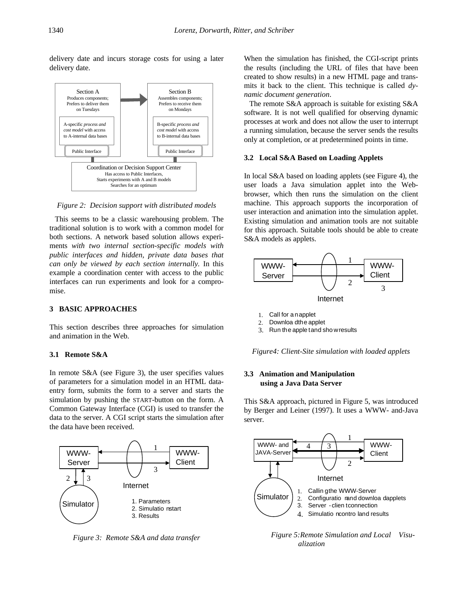delivery date and incurs storage costs for using a later delivery date.



*Figure 2: Decision support with distributed models*

This seems to be a classic warehousing problem. The traditional solution is to work with a common model for both sections. A network based solution allows experiments *with two internal section-specific models with public interfaces and hidden, private data bases that can only be viewed by each section internally.* In this example a coordination center with access to the public interfaces can run experiments and look for a compromise.

## **3 BASIC APPROACHES**

This section describes three approaches for simulation and animation in the Web.

#### **3.1 Remote S&A**

In remote S&A (see Figure 3), the user specifies values of parameters for a simulation model in an HTML dataentry form, submits the form to a server and starts the simulation by pushing the START-button on the form. A Common Gateway Interface (CGI) is used to transfer the data to the server. A CGI script starts the simulation after the data have been received.



*Figure 3: Remote S&A and data transfer*

When the simulation has finished, the CGI-script prints the results (including the URL of files that have been created to show results) in a new HTML page and transmits it back to the client. This technique is called *dynamic document generation*.

The remote S&A approach is suitable for existing S&A software. It is not well qualified for observing dynamic processes at work and does not allow the user to interrupt a running simulation, because the server sends the results only at completion, or at predetermined points in time.

#### **3.2 Local S&A Based on Loading Applets**

In local S&A based on loading applets (see Figure 4), the user loads a Java simulation applet into the Webbrowser, which then runs the simulation on the client machine. This approach supports the incorporation of user interaction and animation into the simulation applet. Existing simulation and animation tools are not suitable for this approach. Suitable tools should be able to create S&A models as applets.



- 1. Call for a n applet
- 2. Downloa dthe applet
- 3. Run the apple t and sho w results

*Figure4: Client-Site simulation with loaded applets*

## **3.3 Animation and Manipulation using a Java Data Server**

This S&A approach, pictured in Figure 5, was introduced by Berger and Leiner (1997). It uses a WWW- and-Java server.



*Figure 5:Remote Simulation and Local Visualization*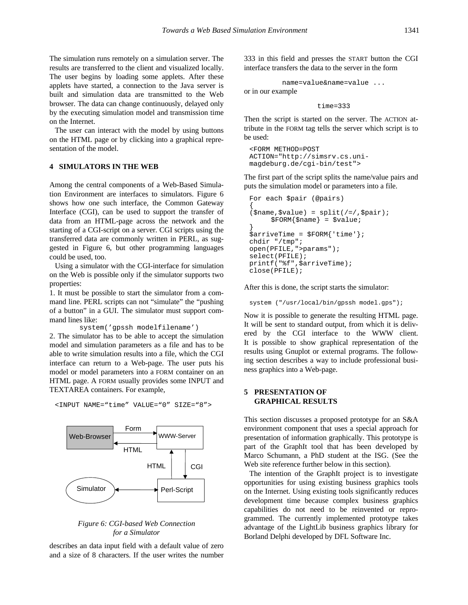The simulation runs remotely on a simulation server. The results are transferred to the client and visualized locally. The user begins by loading some applets. After these applets have started, a connection to the Java server is built and simulation data are transmitted to the Web browser. The data can change continuously, delayed only by the executing simulation model and transmission time on the Internet.

The user can interact with the model by using buttons on the HTML page or by clicking into a graphical representation of the model.

### **4 SIMULATORS IN THE WEB**

Among the central components of a Web-Based Simulation Environment are interfaces to simulators. Figure 6 shows how one such interface, the Common Gateway Interface (CGI), can be used to support the transfer of data from an HTML-page across the network and the starting of a CGI-script on a server. CGI scripts using the transferred data are commonly written in PERL, as suggested in Figure 6, but other programming languages could be used, too.

Using a simulator with the CGI-interface for simulation on the Web is possible only if the simulator supports two properties:

1. It must be possible to start the simulator from a command line. PERL scripts can not "simulate" the "pushing of a button" in a GUI. The simulator must support command lines like:

```
system('gpssh modelfilename')
```
2. The simulator has to be able to accept the simulation model and simulation parameters as a file and has to be able to write simulation results into a file, which the CGI interface can return to a Web-page. The user puts his model or model parameters into a FORM container on an HTML page. A FORM usually provides some INPUT and TEXTAREA containers. For example,

Web-Browser WWW-Server  $Simulator \rightarrow P$ erl-Script Form **HTML**  $HTML$   $|$   $|$   $CGI$ 

*Figure 6: CGI-based Web Connection for a Simulator*

describes an data input field with a default value of zero and a size of 8 characters. If the user writes the number

333 in this field and presses the START button the CGI interface transfers the data to the server in the form

name=value&name=value ... or in our example

time=333

Then the script is started on the server. The ACTION attribute in the FORM tag tells the server which script is to be used:

```
<FORM METHOD=POST
ACTION="http://simsrv.cs.uni-
magdeburg.de/cgi-bin/test">
```
The first part of the script splits the name/value pairs and puts the simulation model or parameters into a file.

```
For each $pair (@pairs)
{
(sname, svalue) = split ( / = / ,spair);
      $FORM$name} = $value;}
\text{SarriveTime} = \text{SPORM}{'\text{time'}};chdir "/tmp";
open(PFILE,">params");
select(PFILE);
printf("%f",$arriveTime);
close(PFILE);
```
After this is done, the script starts the simulator:

```
system ("/usr/local/bin/gpssh model.gps");
```
Now it is possible to generate the resulting HTML page. It will be sent to standard output, from which it is delivered by the CGI interface to the WWW client. It is possible to show graphical representation of the results using Gnuplot or external programs. The following section describes a way to include professional business graphics into a Web-page.

### **5 PRESENTATION OF GRAPHICAL RESULTS**

This section discusses a proposed prototype for an S&A environment component that uses a special approach for presentation of information graphically. This prototype is part of the GraphIt tool that has been developed by Marco Schumann, a PhD student at the ISG. (See the Web site reference further below in this section).

The intention of the GraphIt project is to investigate opportunities for using existing business graphics tools on the Internet. Using existing tools significantly reduces development time because complex business graphics capabilities do not need to be reinvented or reprogrammed. The currently implemented prototype takes advantage of the LightLib business graphics library for Borland Delphi developed by DFL Software Inc.

<INPUT NAME="time" VALUE="0" SIZE="8">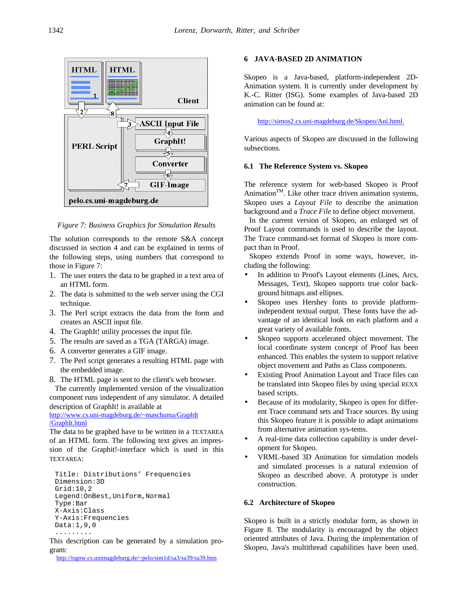

*Figure 7: Business Graphics for Simulation Results*

The solution corresponds to the remote S&A concept discussed in section 4 and can be explained in terms of the following steps, using numbers that correspond to those in Figure 7:

- 1. The user enters the data to be graphed in a text area of an HTML form.
- 2. The data is submitted to the web server using the CGI technique.
- 3. The Perl script extracts the data from the form and creates an ASCII input file.
- 4. The GraphIt! utility processes the input file.
- 5. The results are saved as a TGA (TARGA) image.
- 6. A converter generates a GIF image.
- 7. The Perl script generates a resulting HTML page with the embedded image.
- 8. The HTML page is sent to the client's web browser.

The currently implemented version of the visualization component runs independent of any simulator. A detailed description of GraphIt! is available at

http://www.cs.uni-magdeburg.de/~maschuma/GraphIt /GraphIt.html

The data to be graphed have to be written in a TEXTAREA of an HTML form. The following text gives an impression of the Graphit!-interface which is used in this TEXTAREA:

```
Title: Distributions' Frequencies
Dimension:3D
Grid:10,2
Legend:OnBest,Uniform,Normal
Type:Bar
X-Axis:Class
Y-Axis:Frequencies
Data:1,9,0
.........
```
This description can be generated by a simulation program:

http://isgnw.cs.unimagdeburg.de/~pelo/sim1d/sa3/sa39/sa39.htm

## **6 JAVA-BASED 2D ANIMATION**

Skopeo is a Java-based, platform-independent 2D-Animation system. It is currently under development by K.-C. Ritter (ISG). Some examples of Java-based 2D animation can be found at:

http://simos2.cs.uni-magdeburg.de/Skopeo/Ani.html.

Various aspects of Skopeo are discussed in the following subsections.

#### **6.1 The Reference System vs. Skopeo**

The reference system for web-based Skopeo is Proof Animation<sup>TM</sup>. Like other trace driven animation systems, Skopeo uses a *Layout File* to describe the animation background and a *Trace File* to define object movement.

In the current version of Skopeo, an enlarged set of Proof Layout commands is used to describe the layout. The Trace command-set format of Skopeo is more compact than in Proof.

Skopeo extends Proof in some ways, however, including the following:

- In addition to Proof's Layout elements (Lines, Arcs, Messages, Text), Skopeo supports true color background bitmaps and ellipses.
- Skopeo uses Hershey fonts to provide platformindependent textual output. These fonts have the advantage of an identical look on each platform and a great variety of available fonts.
- Skopeo supports accelerated object movement. The local coordinate system concept of Proof has been enhanced. This enables the system to support relative object movement and Paths as Class components.
- Existing Proof Animation Layout and Trace files can be translated into Skopeo files by using special REXX based scripts.
- Because of its modularity, Skopeo is open for different Trace command sets and Trace sources. By using this Skopeo feature it is possible to adapt animations from alternative animation sys-tems.
- A real-time data collection capability is under development for Skopeo.
- VRML-based 3D Animation for simulation models and simulated processes is a natural extension of Skopeo as described above. A prototype is under construction.

### **6.2 Architecture of Skopeo**

Skopeo is built in a strictly modular form, as shown in Figure 8. The modularity is encouraged by the object oriented attributes of Java. During the implementation of Skopeo, Java's multithread capabilities have been used.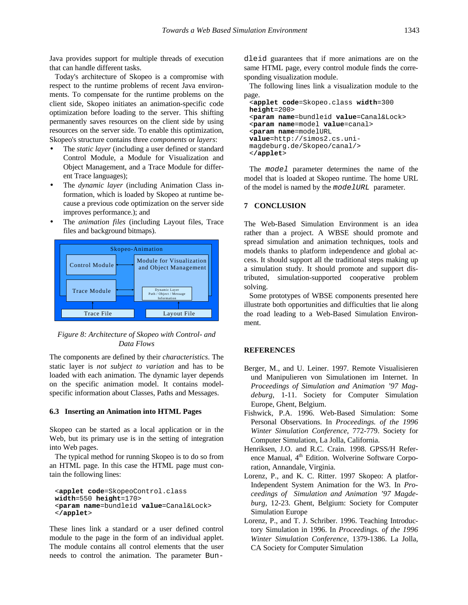Java provides support for multiple threads of execution that can handle different tasks.

Today's architecture of Skopeo is a compromise with respect to the runtime problems of recent Java environments. To compensate for the runtime problems on the client side, Skopeo initiates an animation-specific code optimization before loading to the server. This shifting permanently saves resources on the client side by using resources on the server side. To enable this optimization, Skopeo's structure contains three *components* or *layers*:

- The *static layer* (including a user defined or standard Control Module, a Module for Visualization and Object Management, and a Trace Module for different Trace languages);
- The *dynamic layer* (including Animation Class information, which is loaded by Skopeo at runtime because a previous code optimization on the server side improves performance.); and
- The *animation files* (including Layout files, Trace files and background bitmaps).



*Figure 8: Architecture of Skopeo with Control- and Data Flows*

The components are defined by their *characteristics*. The static layer is *not subject to variation* and has to be loaded with each animation. The dynamic layer depends on the specific animation model. It contains modelspecific information about Classes, Paths and Messages.

### **6.3 Inserting an Animation into HTML Pages**

Skopeo can be started as a local application or in the Web, but its primary use is in the setting of integration into Web pages.

The typical method for running Skopeo is to do so from an HTML page. In this case the HTML page must contain the following lines:

```
<applet code=SkopeoControl.class
width=550 height=170>
<param name=bundleid value=Canal&Lock>
</applet>
```
These lines link a standard or a user defined control module to the page in the form of an individual applet. The module contains all control elements that the user needs to control the animation. The parameter Bundleid guarantees that if more animations are on the same HTML page, every control module finds the corresponding visualization module.

The following lines link a visualization module to the page.

```
<applet code=Skopeo.class width=300
height=200>
<param name=bundleid value=Canal&Lock>
<param name=model value=canal>
<param name=modelURL
value=http://simos2.cs.uni-
magdeburg.de/Skopeo/canal/>
</applet>
```
The *model* parameter determines the name of the model that is loaded at Skopeo runtime. The home URL of the model is named by the *modelURL* parameter.

## **7 CONCLUSION**

The Web-Based Simulation Environment is an idea rather than a project. A WBSE should promote and spread simulation and animation techniques, tools and models thanks to platform independence and global access. It should support all the traditional steps making up a simulation study. It should promote and support distributed, simulation-supported cooperative problem solving.

Some prototypes of WBSE components presented here illustrate both opportunities and difficulties that lie along the road leading to a Web-Based Simulation Environment.

### **REFERENCES**

- Berger, M., and U. Leiner. 1997. Remote Visualisieren und Manipulieren von Simulationen im Internet. In *Proceedings of Simulation and Animation '97 Magdeburg*, 1-11. Society for Computer Simulation Europe, Ghent, Belgium.
- Fishwick, P.A. 1996. Web-Based Simulation: Some Personal Observations. In *Proceedings. of the 1996 Winter Simulation Conference*, 772-779. Society for Computer Simulation, La Jolla, California.
- Henriksen, J.O. and R.C. Crain. 1998. GPSS/H Reference Manual, 4<sup>th</sup> Edition. Wolverine Software Corporation, Annandale, Virginia.
- Lorenz, P., and K. C. Ritter. 1997 Skopeo: A platfor-Independent System Animation for the W3. In *Proceedings of Simulation and Animation '97 Magdeburg*, 12-23. Ghent, Belgium: Society for Computer Simulation Europe
- Lorenz, P., and T. J. Schriber. 1996. Teaching Introductory Simulation in 1996. In *Proceedings. of the 1996 Winter Simulation Conference*, 1379-1386. La Jolla, CA Society for Computer Simulation